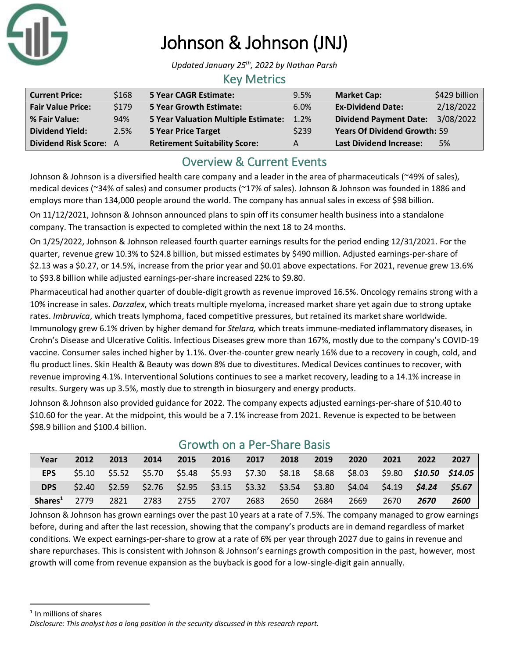

# Johnson & Johnson (JNJ)

*Updated January 25 th, 2022 by Nathan Parsh*

#### Key Metrics

| <b>Current Price:</b>    | \$168 | <b>5 Year CAGR Estimate:</b>               | 9.5%  | <b>Market Cap:</b>                  | \$429 billion |
|--------------------------|-------|--------------------------------------------|-------|-------------------------------------|---------------|
| <b>Fair Value Price:</b> | \$179 | <b>5 Year Growth Estimate:</b>             | 6.0%  | <b>Ex-Dividend Date:</b>            | 2/18/2022     |
| % Fair Value:            | 94%   | <b>5 Year Valuation Multiple Estimate:</b> | 1.2%  | <b>Dividend Payment Date:</b>       | 3/08/2022     |
| <b>Dividend Yield:</b>   | 2.5%  | <b>5 Year Price Target</b>                 | \$239 | <b>Years Of Dividend Growth: 59</b> |               |
| Dividend Risk Score: A   |       | <b>Retirement Suitability Score:</b>       | A     | <b>Last Dividend Increase:</b>      | 5%            |

## Overview & Current Events

Johnson & Johnson is a diversified health care company and a leader in the area of pharmaceuticals (~49% of sales), medical devices (~34% of sales) and consumer products (~17% of sales). Johnson & Johnson was founded in 1886 and employs more than 134,000 people around the world. The company has annual sales in excess of \$98 billion.

On 11/12/2021, Johnson & Johnson announced plans to spin off its consumer health business into a standalone company. The transaction is expected to completed within the next 18 to 24 months.

On 1/25/2022, Johnson & Johnson released fourth quarter earnings results for the period ending 12/31/2021. For the quarter, revenue grew 10.3% to \$24.8 billion, but missed estimates by \$490 million. Adjusted earnings-per-share of \$2.13 was a \$0.27, or 14.5%, increase from the prior year and \$0.01 above expectations. For 2021, revenue grew 13.6% to \$93.8 billion while adjusted earnings-per-share increased 22% to \$9.80.

Pharmaceutical had another quarter of double-digit growth as revenue improved 16.5%. Oncology remains strong with a 10% increase in sales. *Darzalex*, which treats multiple myeloma, increased market share yet again due to strong uptake rates. *Imbruvica*, which treats lymphoma, faced competitive pressures, but retained its market share worldwide. Immunology grew 6.1% driven by higher demand for *Stelara,* which treats immune-mediated inflammatory diseases, in Crohn's Disease and Ulcerative Colitis. Infectious Diseases grew more than 167%, mostly due to the company's COVID-19 vaccine. Consumer sales inched higher by 1.1%. Over-the-counter grew nearly 16% due to a recovery in cough, cold, and flu product lines. Skin Health & Beauty was down 8% due to divestitures. Medical Devices continues to recover, with revenue improving 4.1%. Interventional Solutions continues to see a market recovery, leading to a 14.1% increase in results. Surgery was up 3.5%, mostly due to strength in biosurgery and energy products.

Johnson & Johnson also provided guidance for 2022. The company expects adjusted earnings-per-share of \$10.40 to \$10.60 for the year. At the midpoint, this would be a 7.1% increase from 2021. Revenue is expected to be between \$98.9 billion and \$100.4 billion.

| Year                | 2012 | 2013 | 2014 | 2015 | 2016 | 2017                                                                    | 2018 | 2019 | 2020 | 2021 | 2022                                                                                         | 2027 |
|---------------------|------|------|------|------|------|-------------------------------------------------------------------------|------|------|------|------|----------------------------------------------------------------------------------------------|------|
| EPS                 |      |      |      |      |      |                                                                         |      |      |      |      | \$5.10 \$5.52 \$5.70 \$5.48 \$5.93 \$7.30 \$8.18 \$8.68 \$8.03 \$9.80 <b>\$10.50 \$14.05</b> |      |
| <b>DPS</b>          |      |      |      |      |      | $$2.40$ $$2.59$ $$2.76$ $$2.95$ $$3.15$ $$3.32$ $$3.54$ $$3.80$ $$4.04$ |      |      |      |      | $$4.19$ $$4.24$ $$5.67$                                                                      |      |
| Shares <sup>1</sup> | 2779 | 2821 | 2783 | 2755 | 2707 | 2683                                                                    | 2650 | 2684 | 2669 | 2670 | 2670                                                                                         | 2600 |

## Growth on a Per-Share Basis

Johnson & Johnson has grown earnings over the past 10 years at a rate of 7.5%. The company managed to grow earnings before, during and after the last recession, showing that the company's products are in demand regardless of market conditions. We expect earnings-per-share to grow at a rate of 6% per year through 2027 due to gains in revenue and share repurchases. This is consistent with Johnson & Johnson's earnings growth composition in the past, however, most growth will come from revenue expansion as the buyback is good for a low-single-digit gain annually.

<sup>&</sup>lt;sup>1</sup> In millions of shares

*Disclosure: This analyst has a long position in the security discussed in this research report.*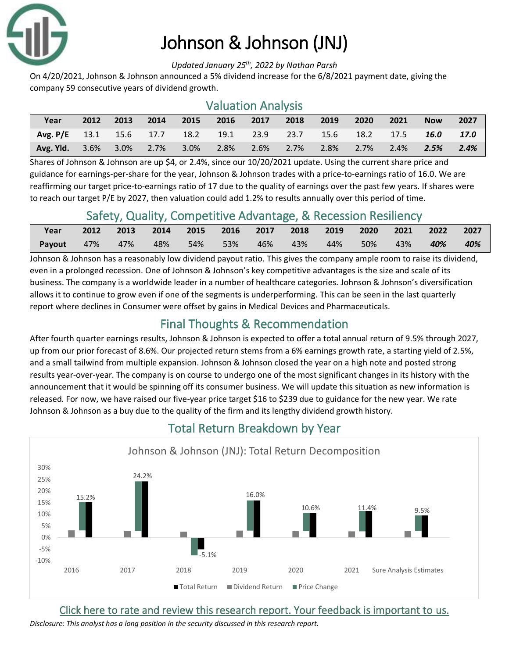

## Johnson & Johnson (JNJ)

*Updated January 25 th, 2022 by Nathan Parsh*

On 4/20/2021, Johnson & Johnson announced a 5% dividend increase for the 6/8/2021 payment date, giving the company 59 consecutive years of dividend growth.

### Valuation Analysis

| Year                                                       | 2012 | 2013    | 2014 | 2015      | 2016 | 2017 | 2018      | 2019 | 2020           | 2021 | <b>Now</b> | 2027 |
|------------------------------------------------------------|------|---------|------|-----------|------|------|-----------|------|----------------|------|------------|------|
| Avg. P/E 13.1 15.6 17.7 18.2 19.1 23.9 23.7 15.6 18.2 17.5 |      |         |      |           |      |      |           |      |                |      | 16.0       | 17.0 |
| <b>Avg. Yld.</b> 3.6%                                      |      | $3.0\%$ |      | 2.7% 3.0% | 2.8% |      | 2.6% 2.7% |      | 2.8% 2.7% 2.4% |      | 2.5%       | 2.4% |

Shares of Johnson & Johnson are up \$4, or 2.4%, since our 10/20/2021 update. Using the current share price and guidance for earnings-per-share for the year, Johnson & Johnson trades with a price-to-earnings ratio of 16.0. We are reaffirming our target price-to-earnings ratio of 17 due to the quality of earnings over the past few years. If shares were to reach our target P/E by 2027, then valuation could add 1.2% to results annually over this period of time.

### Safety, Quality, Competitive Advantage, & Recession Resiliency

| Year                  | 2012 | 2013 2014 2015 2016 2017 2018 2019 2020 2021 2022 2027 |         |  |  |                     |         |
|-----------------------|------|--------------------------------------------------------|---------|--|--|---------------------|---------|
| <b>Payout</b> 47% 47% |      | 48%                                                    | 54% 53% |  |  | 50%  43% <b>40%</b> | $-40\%$ |

Johnson & Johnson has a reasonably low dividend payout ratio. This gives the company ample room to raise its dividend, even in a prolonged recession. One of Johnson & Johnson's key competitive advantages is the size and scale of its business. The company is a worldwide leader in a number of healthcare categories. Johnson & Johnson's diversification allows it to continue to grow even if one of the segments is underperforming. This can be seen in the last quarterly report where declines in Consumer were offset by gains in Medical Devices and Pharmaceuticals.

## Final Thoughts & Recommendation

After fourth quarter earnings results, Johnson & Johnson is expected to offer a total annual return of 9.5% through 2027, up from our prior forecast of 8.6%. Our projected return stems from a 6% earnings growth rate, a starting yield of 2.5%, and a small tailwind from multiple expansion. Johnson & Johnson closed the year on a high note and posted strong results year-over-year. The company is on course to undergo one of the most significant changes in its history with the announcement that it would be spinning off its consumer business. We will update this situation as new information is released. For now, we have raised our five-year price target \$16 to \$239 due to guidance for the new year. We rate Johnson & Johnson as a buy due to the quality of the firm and its lengthy dividend growth history.



## Total Return Breakdown by Year

[Click here to rate and review this research report. Your feedback is important to us.](https://suredividend.typeform.com/to/pOfbkh)

*Disclosure: This analyst has a long position in the security discussed in this research report.*